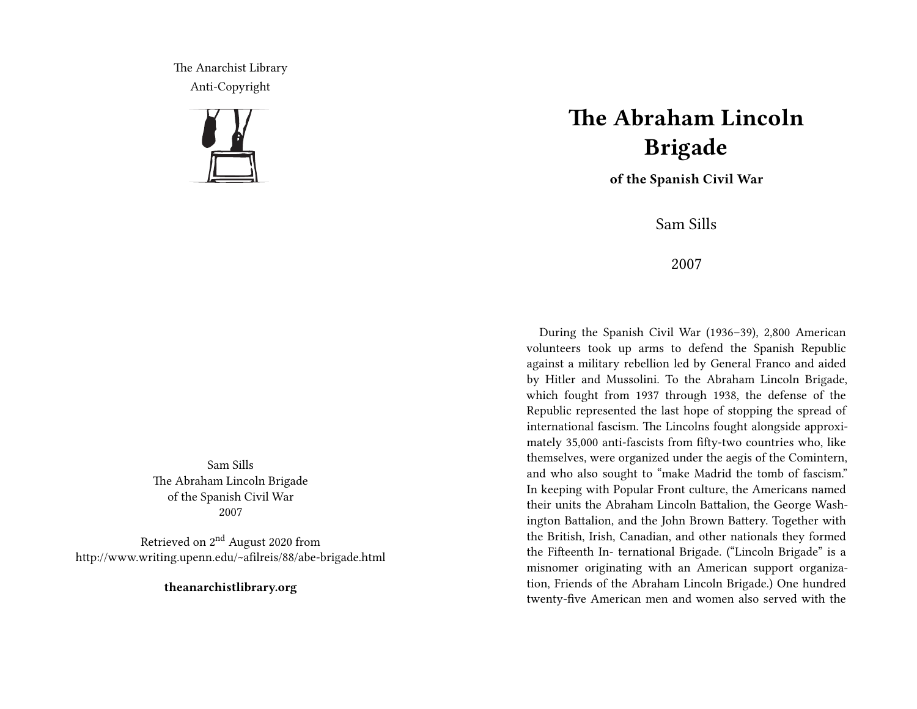The Anarchist Library Anti-Copyright



Sam Sills The Abraham Lincoln Brigade of the Spanish Civil War 2007

Retrieved on 2nd August 2020 from http://www.writing.upenn.edu/~afilreis/88/abe-brigade.html

**theanarchistlibrary.org**

## **The Abraham Lincoln Brigade**

**of the Spanish Civil War**

Sam Sills

2007

During the Spanish Civil War (1936–39), 2,800 American volunteers took up arms to defend the Spanish Republic against a military rebellion led by General Franco and aided by Hitler and Mussolini. To the Abraham Lincoln Brigade, which fought from 1937 through 1938, the defense of the Republic represented the last hope of stopping the spread of international fascism. The Lincolns fought alongside approximately 35,000 anti-fascists from fifty-two countries who, like themselves, were organized under the aegis of the Comintern, and who also sought to "make Madrid the tomb of fascism." In keeping with Popular Front culture, the Americans named their units the Abraham Lincoln Battalion, the George Washington Battalion, and the John Brown Battery. Together with the British, Irish, Canadian, and other nationals they formed the Fifteenth In- ternational Brigade. ("Lincoln Brigade" is a misnomer originating with an American support organization, Friends of the Abraham Lincoln Brigade.) One hundred twenty-five American men and women also served with the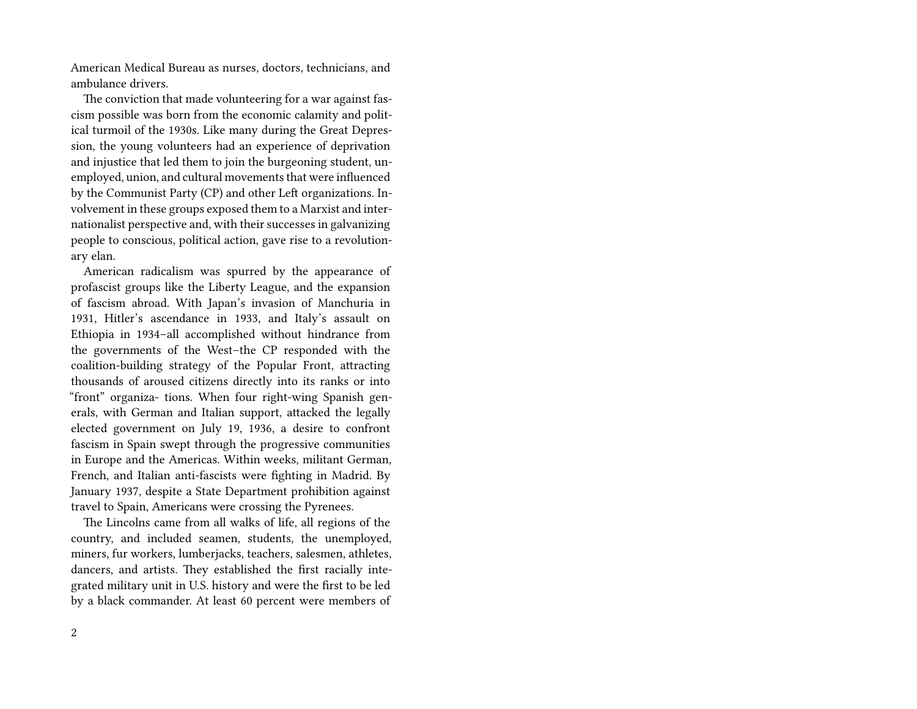American Medical Bureau as nurses, doctors, technicians, and ambulance drivers.

The conviction that made volunteering for a war against fascism possible was born from the economic calamity and political turmoil of the 1930s. Like many during the Great Depression, the young volunteers had an experience of deprivation and injustice that led them to join the burgeoning student, unemployed, union, and cultural movements that were influenced by the Communist Party (CP) and other Left organizations. Involvement in these groups exposed them to a Marxist and internationalist perspective and, with their successes in galvanizing people to conscious, political action, gave rise to a revolutionary elan.

American radicalism was spurred by the appearance of profascist groups like the Liberty League, and the expansion of fascism abroad. With Japan's invasion of Manchuria in 1931, Hitler's ascendance in 1933, and Italy's assault on Ethiopia in 1934–all accomplished without hindrance from the governments of the West–the CP responded with the coalition-building strategy of the Popular Front, attracting thousands of aroused citizens directly into its ranks or into "front" organiza- tions. When four right-wing Spanish generals, with German and Italian support, attacked the legally elected government on July 19, 1936, a desire to confront fascism in Spain swept through the progressive communities in Europe and the Americas. Within weeks, militant German, French, and Italian anti-fascists were fighting in Madrid. By January 1937, despite a State Department prohibition against travel to Spain, Americans were crossing the Pyrenees.

The Lincolns came from all walks of life, all regions of the country, and included seamen, students, the unemployed, miners, fur workers, lumberjacks, teachers, salesmen, athletes, dancers, and artists. They established the first racially integrated military unit in U.S. history and were the first to be led by a black commander. At least 60 percent were members of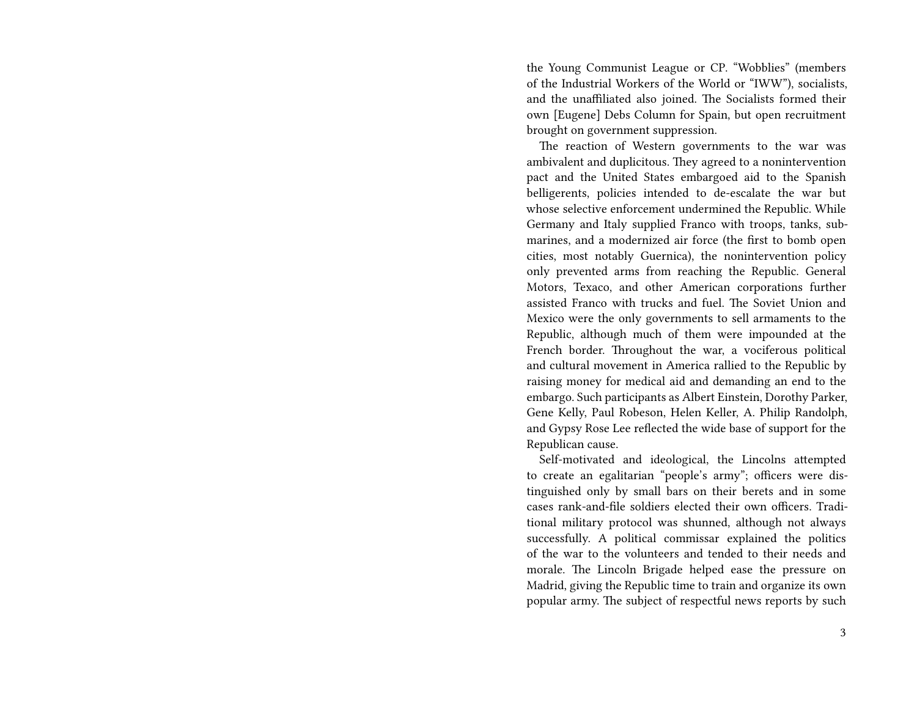the Young Communist League or CP. "Wobblies" (members of the Industrial Workers of the World or "IWW"), socialists, and the unaffiliated also joined. The Socialists formed their own [Eugene] Debs Column for Spain, but open recruitment brought on government suppression.

The reaction of Western governments to the war was ambivalent and duplicitous. They agreed to a nonintervention pact and the United States embargoed aid to the Spanish belligerents, policies intended to de-escalate the war but whose selective enforcement undermined the Republic. While Germany and Italy supplied Franco with troops, tanks, submarines, and a modernized air force (the first to bomb open cities, most notably Guernica), the nonintervention policy only prevented arms from reaching the Republic. General Motors, Texaco, and other American corporations further assisted Franco with trucks and fuel. The Soviet Union and Mexico were the only governments to sell armaments to the Republic, although much of them were impounded at the French border. Throughout the war, a vociferous political and cultural movement in America rallied to the Republic by raising money for medical aid and demanding an end to the embargo. Such participants as Albert Einstein, Dorothy Parker, Gene Kelly, Paul Robeson, Helen Keller, A. Philip Randolph, and Gypsy Rose Lee reflected the wide base of support for the Republican cause.

Self-motivated and ideological, the Lincolns attempted to create an egalitarian "people's army"; officers were distinguished only by small bars on their berets and in some cases rank-and-file soldiers elected their own officers. Traditional military protocol was shunned, although not always successfully. A political commissar explained the politics of the war to the volunteers and tended to their needs and morale. The Lincoln Brigade helped ease the pressure on Madrid, giving the Republic time to train and organize its own popular army. The subject of respectful news reports by such